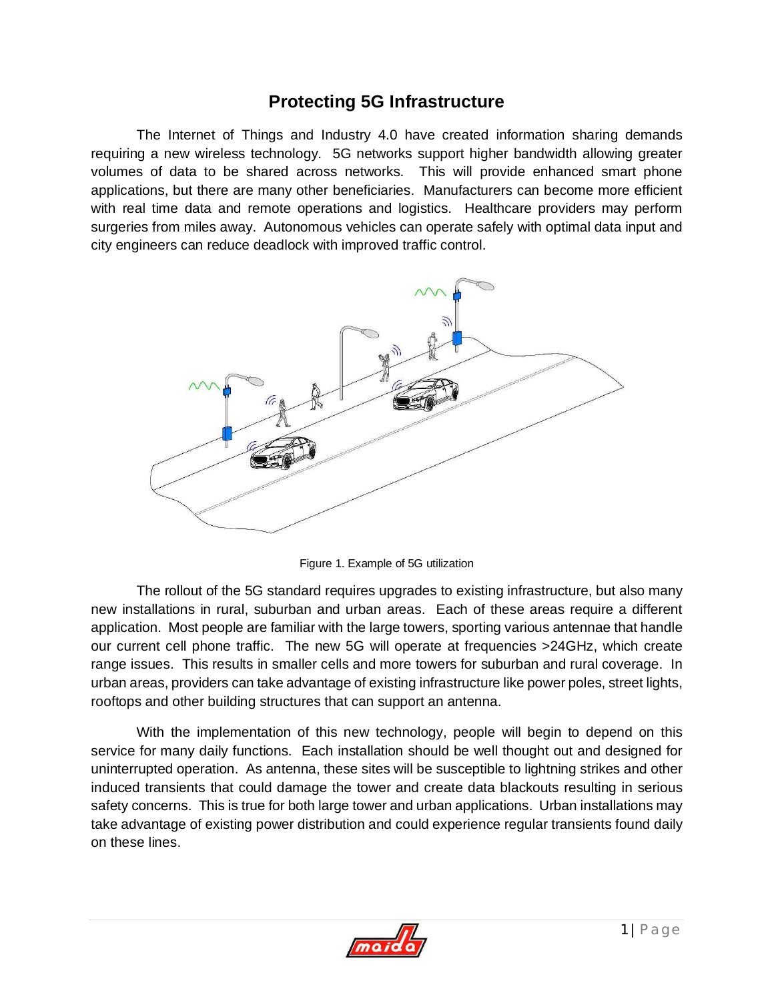## **Protecting 5G Infrastructure**

The Internet of Things and Industry 4.0 have created information sharing demands requiring a new wireless technology. 5G networks support higher bandwidth allowing greater volumes of data to be shared across networks. This will provide enhanced smart phone applications, but there are many other beneficiaries. Manufacturers can become more efficient with real time data and remote operations and logistics. Healthcare providers may perform surgeries from miles away. Autonomous vehicles can operate safely with optimal data input and city engineers can reduce deadlock with improved traffic control.



Figure 1. Example of 5G utilization

The rollout of the 5G standard requires upgrades to existing infrastructure, but also many new installations in rural, suburban and urban areas. Each of these areas require a different application. Most people are familiar with the large towers, sporting various antennae that handle our current cell phone traffic. The new 5G will operate at frequencies >24GHz, which create range issues. This results in smaller cells and more towers for suburban and rural coverage. In urban areas, providers can take advantage of existing infrastructure like power poles, street lights, rooftops and other building structures that can support an antenna.

With the implementation of this new technology, people will begin to depend on this service for many daily functions. Each installation should be well thought out and designed for uninterrupted operation. As antenna, these sites will be susceptible to lightning strikes and other induced transients that could damage the tower and create data blackouts resulting in serious safety concerns. This is true for both large tower and urban applications. Urban installations may take advantage of existing power distribution and could experience regular transients found daily on these lines.

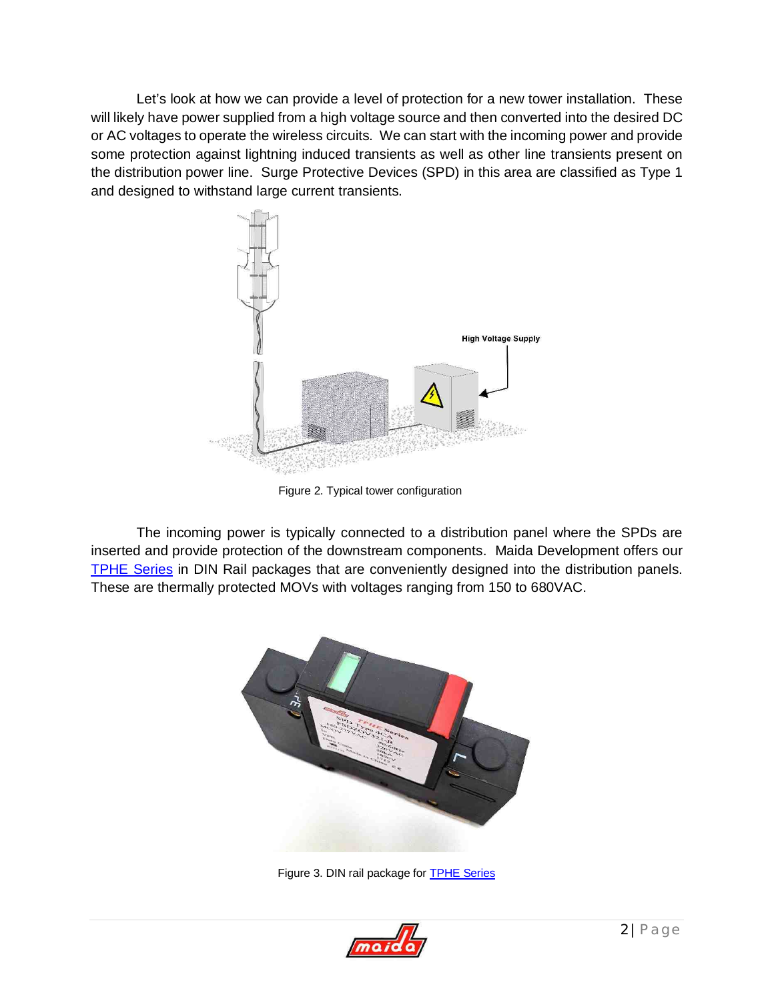Let's look at how we can provide a level of protection for a new tower installation. These will likely have power supplied from a high voltage source and then converted into the desired DC or AC voltages to operate the wireless circuits. We can start with the incoming power and provide some protection against lightning induced transients as well as other line transients present on the distribution power line. Surge Protective Devices (SPD) in this area are classified as Type 1 and designed to withstand large current transients.



Figure 2. Typical tower configuration

The incoming power is typically connected to a distribution panel where the SPDs are inserted and provide protection of the downstream components. Maida Development offers our [TPHE Series](http://www.maida.com/pdf/Thermally%20Protected%20High%20Energy%20Series.pdf) in DIN Rail packages that are conveniently designed into the distribution panels. These are thermally protected MOVs with voltages ranging from 150 to 680VAC.



Figure 3. DIN rail package for [TPHE Series](http://www.maida.com/pdf/Thermally%20Protected%20High%20Energy%20Series.pdf)

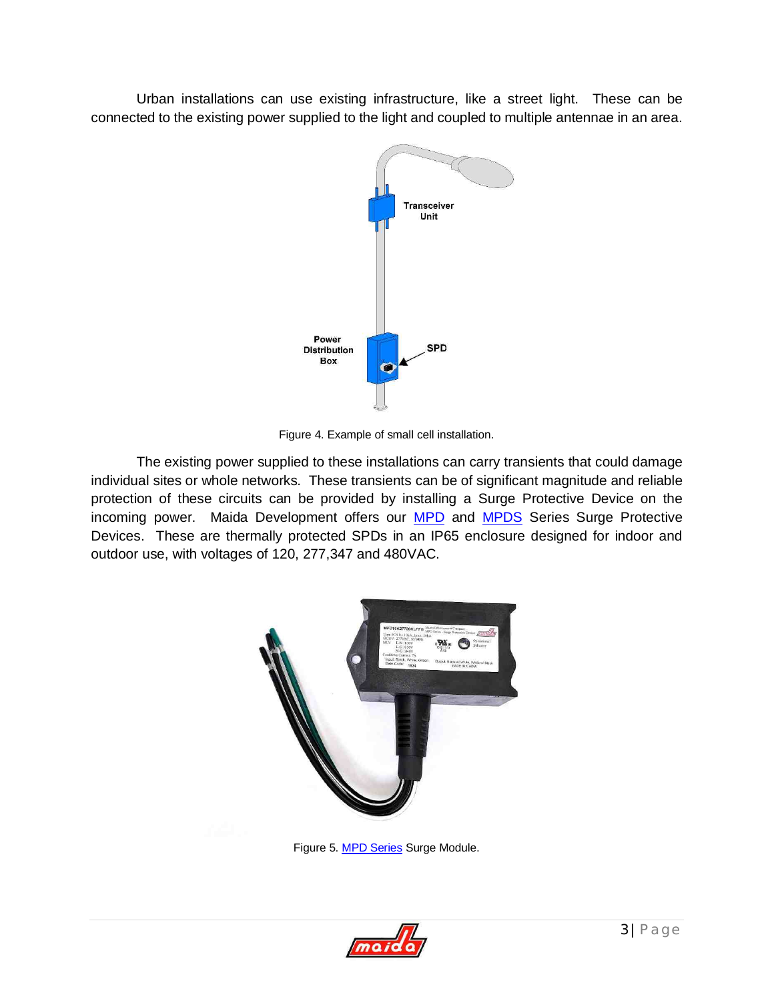Urban installations can use existing infrastructure, like a street light. These can be connected to the existing power supplied to the light and coupled to multiple antennae in an area.



Figure 4. Example of small cell installation.

The existing power supplied to these installations can carry transients that could damage individual sites or whole networks. These transients can be of significant magnitude and reliable protection of these circuits can be provided by installing a Surge Protective Device on the incoming power. Maida Development offers our **MPD** and **[MPDS](http://www.maida.com/pdf/MPDS%20SERIES%20Ver1_4.pdf)** Series Surge Protective Devices. These are thermally protected SPDs in an IP65 enclosure designed for indoor and outdoor use, with voltages of 120, 277,347 and 480VAC.



Figure 5. [MPD Series](http://www.maida.com/pdf/MPD%20Series.pdf) Surge Module.